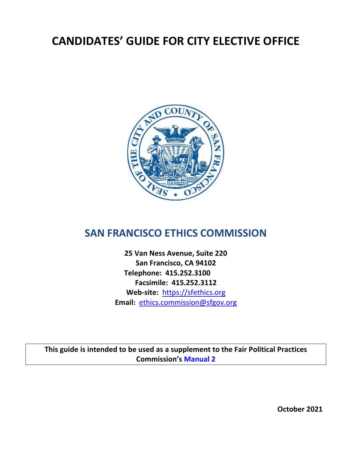# **CANDIDATES' GUIDE FOR CITY ELECTIVE OFFICE**



# **SAN FRANCISCO ETHICS COMMISSION**

**25 Van Ness Avenue, Suite 220 San Francisco, CA 94102 Telephone: 415.252.3100 Facsimile: 415.252.3112 Web-site:** [https://sfethics.org](https://sfethics.org/) **Email:** [ethics.commission@sfgov.org](mailto:ethics.commission@sfgov.org)

**This guide is intended to be used as a supplement to the Fair Political Practices Commission's [Manual 2](http://www.fppc.ca.gov/content/dam/fppc/NS-Documents/TAD/Campaign%20Manuals/Manual_2/Final_Manual_2_Entire_Manual.pdf)**

**October 2021**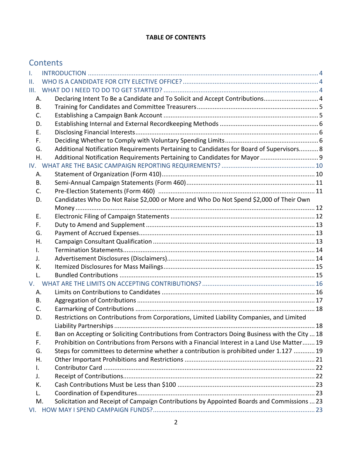#### **TABLE OF CONTENTS**

# **Contents**

| I. |                                                                                                |     |
|----|------------------------------------------------------------------------------------------------|-----|
| Ш. |                                                                                                |     |
|    |                                                                                                |     |
| А. | Declaring Intent To Be a Candidate and To Solicit and Accept Contributions 4                   |     |
| В. |                                                                                                |     |
| C. |                                                                                                |     |
| D. |                                                                                                |     |
| Е. |                                                                                                |     |
| F. |                                                                                                |     |
| G. | Additional Notification Requirements Pertaining to Candidates for Board of Supervisors 8       |     |
| Η. | Additional Notification Requirements Pertaining to Candidates for Mayor  9                     |     |
|    |                                                                                                |     |
| А. |                                                                                                |     |
| В. |                                                                                                |     |
| C. |                                                                                                |     |
| D. | Candidates Who Do Not Raise \$2,000 or More and Who Do Not Spend \$2,000 of Their Own          |     |
|    |                                                                                                |     |
| Ε. |                                                                                                |     |
| F. |                                                                                                |     |
| G. |                                                                                                |     |
| Η. |                                                                                                |     |
| I. |                                                                                                |     |
| J. |                                                                                                |     |
| К. |                                                                                                |     |
| L. |                                                                                                |     |
| V. |                                                                                                |     |
| А. |                                                                                                |     |
| В. |                                                                                                |     |
| C. |                                                                                                |     |
| D. | Restrictions on Contributions from Corporations, Limited Liability Companies, and Limited      |     |
|    |                                                                                                | .18 |
| Ε. | Ban on Accepting or Soliciting Contributions from Contractors Doing Business with the City  18 |     |
| F. | Prohibition on Contributions from Persons with a Financial Interest in a Land Use Matter 19    |     |
| G. | Steps for committees to determine whether a contribution is prohibited under 1.127  19         |     |
| Η. |                                                                                                |     |
| I. |                                                                                                |     |
| J. |                                                                                                |     |
| K. |                                                                                                |     |
| L. |                                                                                                |     |
| M. | Solicitation and Receipt of Campaign Contributions by Appointed Boards and Commissions  23     |     |
|    |                                                                                                |     |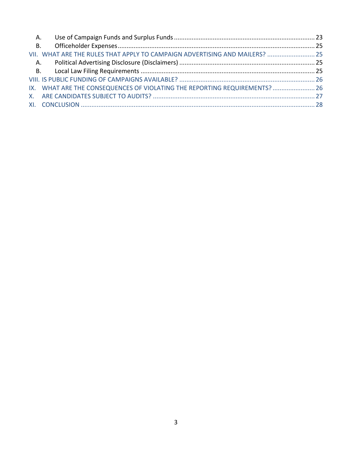| VII. WHAT ARE THE RULES THAT APPLY TO CAMPAIGN ADVERTISING AND MAILERS?  25 |  |
|-----------------------------------------------------------------------------|--|
|                                                                             |  |
|                                                                             |  |
|                                                                             |  |
| IX. WHAT ARE THE CONSEQUENCES OF VIOLATING THE REPORTING REQUIREMENTS?  26  |  |
|                                                                             |  |
|                                                                             |  |
|                                                                             |  |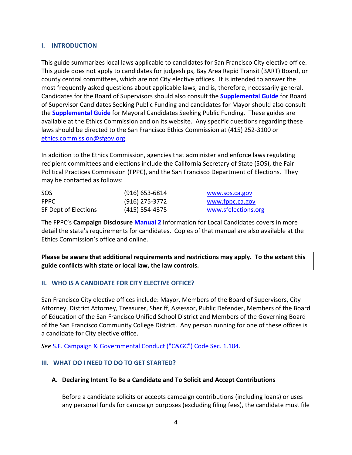### <span id="page-3-0"></span>**I. INTRODUCTION**

This guide summarizes local laws applicable to candidates for San Francisco City elective office. This guide does not apply to candidates for judgeships, Bay Area Rapid Transit (BART) Board, or county central committees, which are not City elective offices. It is intended to answer the most frequently asked questions about applicable laws, and is, therefore, necessarily general. Candidates for the Board of Supervisors should also consult the **[Supplemental Guide](https://sfethics.org/compliance/campaigns/candidates)** for Board of Supervisor Candidates Seeking Public Funding and candidates for Mayor should also consult the **[Supplemental Guide](https://sfethics.org/compliance/campaigns/complete-list-of-campaign-public-finance-forms)** for Mayoral Candidates Seeking Public Funding. These guides are available at the Ethics Commission and on its website. Any specific questions regarding these laws should be directed to the San Francisco Ethics Commission at (415) 252-3100 or [ethics.commission@sfgov.org.](mailto:ethics.commission@sfgov.org)

In addition to the Ethics Commission, agencies that administer and enforce laws regulating recipient committees and elections include the California Secretary of State (SOS), the Fair Political Practices Commission (FPPC), and the San Francisco Department of Elections. They may be contacted as follows:

| SOS                  | $(916)$ 653-6814 | www.sos.ca.gov      |
|----------------------|------------------|---------------------|
| <b>FPPC</b>          | (916) 275-3772   | www.fppc.ca.gov     |
| SF Dept of Elections | (415) 554-4375   | www.sfelections.org |

The FPPC's **Campaign Disclosure Manual 2** [Information for Local Candidates](http://www.fppc.ca.gov/content/dam/fppc/NS-Documents/TAD/Campaign%20Manuals/Manual_2/Final_Manual_2_Entire_Manual.pdf) covers in more detail the state's requirements for candidates. Copies of that manual are also available at the Ethics Commission's office and online.

**Please be aware that additional requirements and restrictions may apply. To the extent this guide conflicts with state or local law, the law controls.**

# <span id="page-3-1"></span>**II. WHO IS A CANDIDATE FOR CITY ELECTIVE OFFICE?**

San Francisco City elective offices include: Mayor, Members of the Board of Supervisors, City Attorney, District Attorney, Treasurer, Sheriff, Assessor, Public Defender, Members of the Board of Education of the San Francisco Unified School District and Members of the Governing Board of the San Francisco Community College District. Any person running for one of these offices is a candidate for City elective office.

*See* [S.F. Campaign & Governmental Conduct \("C&GC"\) Code Sec. 1.104.](https://codelibrary.amlegal.com/codes/san_francisco/latest/sf_campaign/0-0-0-11#JD_ArticleI)

# <span id="page-3-2"></span>**III. WHAT DO I NEED TO DO TO GET STARTED?**

#### <span id="page-3-3"></span>**A. Declaring Intent To Be a Candidate and To Solicit and Accept Contributions**

Before a candidate solicits or accepts campaign contributions (including loans) or uses any personal funds for campaign purposes (excluding filing fees), the candidate must file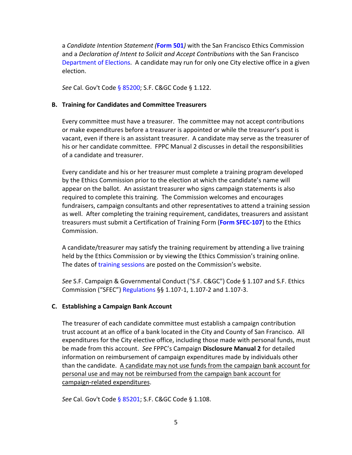a *Candidate Intention Statement (***[Form 501](https://sfethics.org/compliance/campaigns/complete-list-of-campaign-public-finance-forms)***)* with the San Francisco Ethics Commission and a *Declaration of Intent to Solicit and Accept Contributions* with the San Francisco [Department of Elections.](http://sfgov.org/elections/contact-us) A candidate may run for only one City elective office in a given election.

*See* Cal. Gov't Code [§ 85200;](http://leginfo.legislature.ca.gov/faces/codes_displaySection.xhtml?lawCode=GOV§ionNum=85200.) [S.F. C&GC](http://library.amlegal.com/nxt/gateway.dll/California/campaign/articleielectioncampaigns?f=templates$fn=default.htm$3.0$vid=amlegal:sanfrancisco_ca$anc=JD_Art.ICh.1) Code § 1.122.

#### <span id="page-4-0"></span>**B. Training for Candidates and Committee Treasurers**

Every committee must have a treasurer. The committee may not accept contributions or make expenditures before a treasurer is appointed or while the treasurer's post is vacant, even if there is an assistant treasurer. A candidate may serve as the treasurer of his or her candidate committee. FPPC Manual 2 discusses in detail the responsibilities of a candidate and treasurer.

Every candidate and his or her treasurer must complete a training program developed by the Ethics Commission prior to the election at which the candidate's name will appear on the ballot. An assistant treasurer who signs campaign statements is also required to complete this training. The Commission welcomes and encourages fundraisers, campaign consultants and other representatives to attend a training session as well. After completing the training requirement, candidates, treasurers and assistant treasurers must submit a Certification of Training Form (**[Form SFEC-107](https://sfethics.org/compliance/campaigns/complete-list-of-campaign-public-finance-forms)**) to the Ethics Commission.

A candidate/treasurer may satisfy the training requirement by attending a live training held by the Ethics Commission or by viewing the Ethics Commission's training online. The dates of [training sessions](https://sfethics.org/ethics/category/education) are posted on the Commission's website.

*See* S.F. Campaign & Governmental Conduct ("S.F. C&GC") Code § 1.107 and S.F. Ethics Commission ("SFEC") [Regulations](https://sfethics.org/ethics/2011/06/-regulations-to-campaign-finance-reform-ordinance-san-francisco-campaign-and-governmental-conduct-co.html) §§ 1.107-1, 1.107-2 and 1.107-3.

#### <span id="page-4-1"></span>**C. Establishing a Campaign Bank Account**

The treasurer of each candidate committee must establish a campaign contribution trust account at an office of a bank located in the City and County of San Francisco. All expenditures for the City elective office, including those made with personal funds, must be made from this account. *See* FPPC's Campaign **[Disclosure Manual 2](http://www.fppc.ca.gov/content/dam/fppc/NS-Documents/TAD/Campaign%20Manuals/Manual_2/Final_Manual_2_Entire_Manual.pdf)** for detailed information on reimbursement of campaign expenditures made by individuals other than the candidate. A candidate may not use funds from the campaign bank account for personal use and may not be reimbursed from the campaign bank account for campaign-related expenditures.

*See* Cal. Gov't Code [§ 85201;](http://leginfo.legislature.ca.gov/faces/codes_displaySection.xhtml?lawCode=GOV§ionNum=85201.) [S.F. C&GC](http://library.amlegal.com/nxt/gateway.dll/California/campaign/articleielectioncampaigns?f=templates$fn=default.htm$3.0$vid=amlegal:sanfrancisco_ca$anc=JD_Art.ICh.1) Code § 1.108.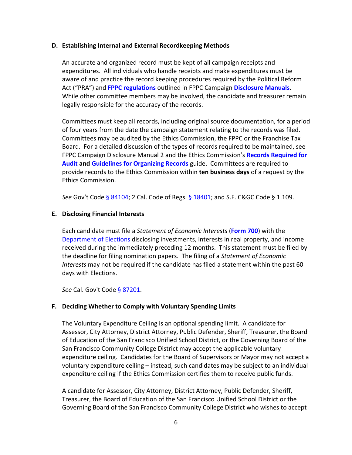#### <span id="page-5-0"></span>**D. Establishing Internal and External Recordkeeping Methods**

An accurate and organized record must be kept of all campaign receipts and expenditures. All individuals who handle receipts and make expenditures must be aware of and practice the record keeping procedures required by the Political Reform Act ("PRA") and **[FPPC regulations](http://www.fppc.ca.gov/the-law/fppc-regulations.html)** outlined in FPPC Campaign **[Disclosure Manuals](http://www.fppc.ca.gov/learn/campaign-rules/campaign-disclosure-manuals.html)**. While other committee members may be involved, the candidate and treasurer remain legally responsible for the accuracy of the records.

Committees must keep all records, including original source documentation, for a period of four years from the date the campaign statement relating to the records was filed. Committees may be audited by the Ethics Commission, the FPPC or the Franchise Tax Board. For a detailed discussion of the types of records required to be maintained, see FPPC Campaign Disclosure Manual 2 and the Ethics Commission's **[Records Required for](https://sfethics.org/compliance/campaigns/audits/required-records)  [Audit](https://sfethics.org/compliance/campaigns/audits/required-records) and [Guidelines for Organizing Records](https://sfethics.org/wp-content/uploads/2015/04/Records_Required_for_Audit.pdf)** guide. Committees are required to provide records to the Ethics Commission within **ten business days** of a request by the Ethics Commission.

*See* Gov't Code [§ 84104;](http://leginfo.legislature.ca.gov/faces/codes_displaySection.xhtml?lawCode=GOV§ionNum=84104.) 2 Cal. Code of Regs. [§ 18401;](http://www.fppc.ca.gov/content/dam/fppc/NS-Documents/LegalDiv/Regulations/Index/Chapter4/18401.pdf) and [S.F. C&GC](http://library.amlegal.com/nxt/gateway.dll/California/campaign/articleielectioncampaigns?f=templates$fn=default.htm$3.0$vid=amlegal:sanfrancisco_ca$anc=JD_Art.ICh.1) Code § 1.109.

#### <span id="page-5-1"></span>**E. Disclosing Financial Interests**

Each candidate must file a *Statement of Economic Interests* (**[Form 700](http://www.fppc.ca.gov/Form700.html)**) with the [Department of Elections](http://sfgov.org/elections/department-elections) disclosing investments, interests in real property, and income received during the immediately preceding 12 months. This statement must be filed by the deadline for filing nomination papers. The filing of a *Statement of Economic Interests* may not be required if the candidate has filed a statement within the past 60 days with Elections.

*See* Cal. Gov't Code [§ 87201.](http://leginfo.legislature.ca.gov/faces/codes_displaySection.xhtml?lawCode=GOV§ionNum=87201.)

#### <span id="page-5-2"></span>**F. Deciding Whether to Comply with Voluntary Spending Limits**

The Voluntary Expenditure Ceiling is an optional spending limit. A candidate for Assessor, City Attorney, District Attorney, Public Defender, Sheriff, Treasurer, the Board of Education of the San Francisco Unified School District, or the Governing Board of the San Francisco Community College District may accept the applicable voluntary expenditure ceiling. Candidates for the Board of Supervisors or Mayor may not accept a voluntary expenditure ceiling – instead, such candidates may be subject to an individual expenditure ceiling if the Ethics Commission certifies them to receive public funds.

A candidate for Assessor, City Attorney, District Attorney, Public Defender, Sheriff, Treasurer, the Board of Education of the San Francisco Unified School District or the Governing Board of the San Francisco Community College District who wishes to accept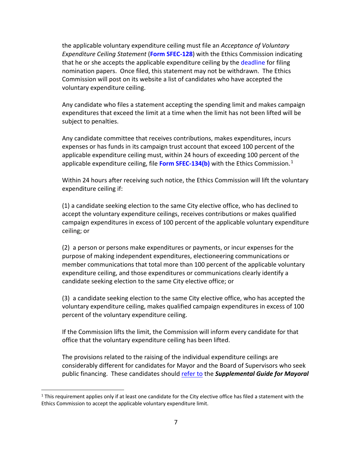the applicable voluntary expenditure ceiling must file an *Acceptance of Voluntary Expenditure Ceiling Statement* (**[Form SFEC-128](https://sfethics.org/compliance/campaigns/complete-list-of-campaign-public-finance-forms)**) with the Ethics Commission indicating that he or she accepts the applicable expenditure ceiling by the [deadline](https://sfelections.sfgov.org/candidates) for filing nomination papers. Once filed, this statement may not be withdrawn. The Ethics Commission will post on its website a list of candidates who have accepted the voluntary expenditure ceiling.

Any candidate who files a statement accepting the spending limit and makes campaign expenditures that exceed the limit at a time when the limit has not been lifted will be subject to penalties.

Any candidate committee that receives contributions, makes expenditures, incurs expenses or has funds in its campaign trust account that exceed 100 percent of the applicable expenditure ceiling must, within 24 hours of exceeding 100 percent of the applicable expenditure ceiling, file **[Form SFEC-134\(b\)](https://sfethics.org/compliance/campaigns/complete-list-of-campaign-public-finance-forms)** with the Ethics Commission.<sup>[1](#page-6-0)</sup>

Within 24 hours after receiving such notice, the Ethics Commission will lift the voluntary expenditure ceiling if:

(1) a candidate seeking election to the same City elective office, who has declined to accept the voluntary expenditure ceilings, receives contributions or makes qualified campaign expenditures in excess of 100 percent of the applicable voluntary expenditure ceiling; or

(2) a person or persons make expenditures or payments, or incur expenses for the purpose of making independent expenditures, electioneering communications or member communications that total more than 100 percent of the applicable voluntary expenditure ceiling, and those expenditures or communications clearly identify a candidate seeking election to the same City elective office; or

(3) a candidate seeking election to the same City elective office, who has accepted the voluntary expenditure ceiling, makes qualified campaign expenditures in excess of 100 percent of the voluntary expenditure ceiling.

If the Commission lifts the limit, the Commission will inform every candidate for that office that the voluntary expenditure ceiling has been lifted.

The provisions related to the raising of the individual expenditure ceilings are considerably different for candidates for Mayor and the Board of Supervisors who seek public financing. These candidates should [refer to](https://sfethics.org/compliance/campaigns/candidates/public-financing-program) the *Supplemental Guide for Mayoral* 

<span id="page-6-0"></span> $1$  This requirement applies only if at least one candidate for the City elective office has filed a statement with the Ethics Commission to accept the applicable voluntary expenditure limit.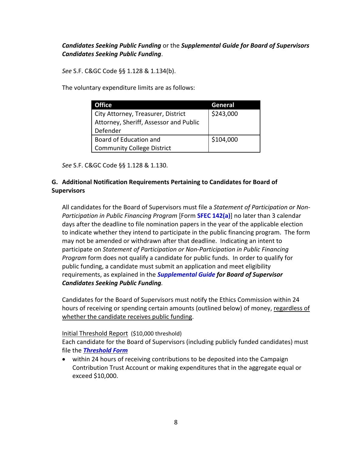# *Candidates Seeking Public Funding* or the *Supplemental Guide for Board of Supervisors Candidates Seeking Public Funding*.

*See* [S.F. C&GC](http://library.amlegal.com/nxt/gateway.dll/California/campaign/articleielectioncampaigns?f=templates$fn=default.htm$3.0$vid=amlegal:sanfrancisco_ca$anc=JD_Art.ICh.1) Code §§ 1.128 & 1.134(b).

The voluntary expenditure limits are as follows:

| <b>Office</b>                          | General   |
|----------------------------------------|-----------|
| City Attorney, Treasurer, District     | \$243,000 |
| Attorney, Sheriff, Assessor and Public |           |
| Defender                               |           |
| Board of Education and                 | \$104,000 |
| <b>Community College District</b>      |           |

*See* [S.F. C&GC](http://library.amlegal.com/nxt/gateway.dll/California/campaign/articleielectioncampaigns?f=templates$fn=default.htm$3.0$vid=amlegal:sanfrancisco_ca$anc=JD_Art.ICh.1) Code §§ 1.128 & 1.130.

# <span id="page-7-0"></span>**G. Additional Notification Requirements Pertaining to Candidates for Board of Supervisors**

All candidates for the Board of Supervisors must file a *Statement of Participation or Non-Participation in Public Financing Program* [Form **[SFEC 142\(a\)](https://sfethics.org/compliance/campaigns/candidates/reporting-and-recordkeeping-for-candidates)**] no later than 3 calendar days after the deadline to file nomination papers in the year of the applicable election to indicate whether they intend to participate in the public financing program. The form may not be amended or withdrawn after that deadline. Indicating an intent to participate on *Statement of Participation or Non-Participation in Public Financing Program* form does not qualify a candidate for public funds. In order to qualify for public funding, a candidate must submit an application and meet eligibility requirements, as explained in the *[Supplemental Guide](https://sfethics.org/compliance/campaigns/candidates/public-financing-program) for Board of Supervisor Candidates Seeking Public Funding.* 

Candidates for the Board of Supervisors must notify the Ethics Commission within 24 hours of receiving or spending certain amounts (outlined below) of money, regardless of whether the candidate receives public funding.

# Initial Threshold Report (\$10,000 threshold)

Each candidate for the Board of Supervisors (including publicly funded candidates) must file the *[Threshold Form](https://sfethics.org/compliance/campaigns/candidates/reporting-and-recordkeeping-for-candidates)*

• within 24 hours of receiving contributions to be deposited into the Campaign Contribution Trust Account or making expenditures that in the aggregate equal or exceed \$10,000.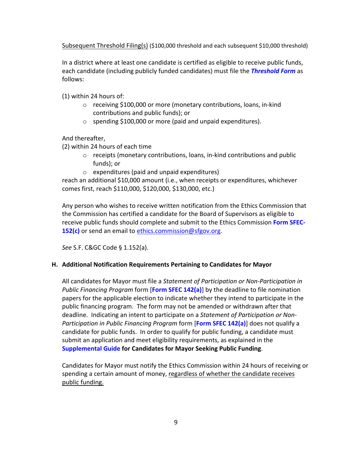Subsequent Threshold Filing(s) (\$100,000 threshold and each subsequent \$10,000 threshold)

In a district where at least one candidate is certified as eligible to receive public funds, each candidate (including publicly funded candidates) must file the *[Threshold Form](https://sfethics.org/compliance/campaigns/candidates/public-financing-program)* as follows:

(1) within 24 hours of:

- o receiving \$100,000 or more (monetary contributions, loans, in-kind contributions and public funds); or
- o spending \$100,000 or more (paid and unpaid expenditures).

And thereafter,

(2) within 24 hours of each time

- o receipts (monetary contributions, loans, in-kind contributions and public funds); or
- o expenditures (paid and unpaid expenditures)

reach an additional \$10,000 amount (i.e., when receipts or expenditures, whichever comes first, reach \$110,000, \$120,000, \$130,000, etc.)

Any person who wishes to receive written notification from the Ethics Commission that the Commission has certified a candidate for the Board of Supervisors as eligible to receive public funds should complete and submit to the Ethics Commission **[Form SFEC-](https://sfethics.org/compliance/campaigns/complete-list-of-campaign-public-finance-forms)[152\(c\)](https://sfethics.org/compliance/campaigns/complete-list-of-campaign-public-finance-forms)** or send an email to [ethics.commission@sfgov.org.](mailto:ethics.commission@sfgov.org)

*See* [S.F. C&GC](http://library.amlegal.com/nxt/gateway.dll/California/campaign/articleielectioncampaigns?f=templates$fn=default.htm$3.0$vid=amlegal:sanfrancisco_ca$anc=JD_Art.ICh.1) Code § 1.152(a).

# <span id="page-8-0"></span>**H. Additional Notification Requirements Pertaining to Candidates for Mayor**

All candidates for Mayor must file a *Statement of Participation or Non-Participation in Public Financing Program* form [**[Form SFEC 142\(a\)](https://sfethics.org/compliance/campaigns/candidates/reporting-and-recordkeeping-for-candidates)**] by the deadline to file nomination papers for the applicable election to indicate whether they intend to participate in the public financing program. The form may not be amended or withdrawn after that deadline. Indicating an intent to participate on a *Statement of Participation or Non-Participation in Public Financing Program* form [**[Form SFEC 142\(a\)](https://sfethics.org/compliance/campaigns/candidates/reporting-and-recordkeeping-for-candidates)**] does not qualify a candidate for public funds. In order to qualify for public funding, a candidate must submit an application and meet eligibility requirements, as explained in the **[Supplemental Guide for Candidates for Mayor Seeking Public Funding](https://sfethics.org/compliance/campaigns/candidates/public-financing-program)**.

Candidates for Mayor must notify the Ethics Commission within 24 hours of receiving or spending a certain amount of money, regardless of whether the candidate receives public funding.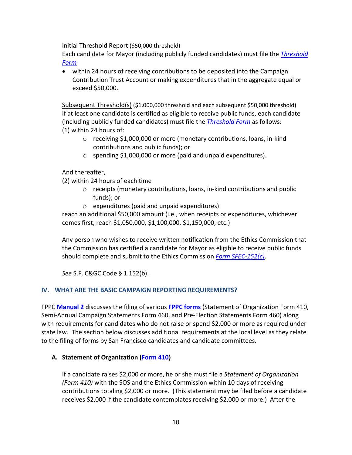Initial Threshold Report (\$50,000 threshold)

Each candidate for Mayor (including publicly funded candidates) must file the *[Threshold](https://sfethics.org/compliance/campaigns/candidates/reporting-and-recordkeeping-for-candidates)  [Form](https://sfethics.org/compliance/campaigns/candidates/reporting-and-recordkeeping-for-candidates)*

• within 24 hours of receiving contributions to be deposited into the Campaign Contribution Trust Account or making expenditures that in the aggregate equal or exceed \$50,000.

Subsequent Threshold(s) (\$1,000,000 threshold and each subsequent \$50,000 threshold) If at least one candidate is certified as eligible to receive public funds, each candidate (including publicly funded candidates) must file the *[Threshold Form](https://sfethics.org/compliance/campaigns/candidates/reporting-and-recordkeeping-for-candidates)* as follows: (1) within 24 hours of:

- o receiving \$1,000,000 or more (monetary contributions, loans, in-kind contributions and public funds); or
- o spending \$1,000,000 or more (paid and unpaid expenditures).

# And thereafter,

(2) within 24 hours of each time

- o receipts (monetary contributions, loans, in-kind contributions and public funds); or
- o expenditures (paid and unpaid expenditures)

reach an additional \$50,000 amount (i.e., when receipts or expenditures, whichever comes first, reach \$1,050,000, \$1,100,000, \$1,150,000, etc.)

Any person who wishes to receive written notification from the Ethics Commission that the Commission has certified a candidate for Mayor as eligible to receive public funds should complete and submit to the Ethics Commission *[Form SFEC-152\(c\)](https://sfethics.org/compliance/campaigns/complete-list-of-campaign-public-finance-forms)*.

*See* [S.F. C&GC](http://library.amlegal.com/nxt/gateway.dll/California/campaign/articleielectioncampaigns?f=templates$fn=default.htm$3.0$vid=amlegal:sanfrancisco_ca$anc=JD_Art.ICh.1) Code § 1.152(b).

# <span id="page-9-0"></span>**IV. WHAT ARE THE BASIC CAMPAIGN REPORTING REQUIREMENTS?**

FPPC **[Manual 2](http://www.fppc.ca.gov/content/dam/fppc/NS-Documents/TAD/Campaign%20Manuals/Manual_2/Final_Manual_2_Entire_Manual.pdf)** discusses the filing of various **[FPPC forms](http://www.fppc.ca.gov/learn/campaign-rules/campaign-forms.html)** (Statement of Organization Form 410, Semi-Annual Campaign Statements Form 460, and Pre-Election Statements Form 460) along with requirements for candidates who do not raise or spend \$2,000 or more as required under state law. The section below discusses additional requirements at the local level as they relate to the filing of forms by San Francisco candidates and candidate committees.

# <span id="page-9-1"></span>**A. Statement of Organization [\(Form 410\)](http://www.fppc.ca.gov/content/dam/fppc/NS-Documents/TAD/Campaign%20Forms/410.pdf)**

If a candidate raises \$2,000 or more, he or she must file a *Statement of Organization (Form 410)* with the SOS and the Ethics Commission within 10 days of receiving contributions totaling \$2,000 or more. (This statement may be filed before a candidate receives \$2,000 if the candidate contemplates receiving \$2,000 or more.) After the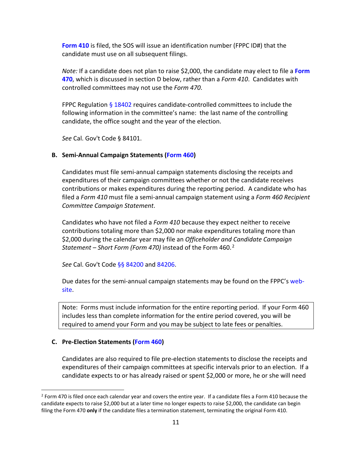**[Form 410](http://www.fppc.ca.gov/content/dam/fppc/NS-Documents/TAD/Campaign%20Forms/410.pdf)** is filed, the SOS will issue an identification number (FPPC ID#) that the candidate must use on all subsequent filings.

*Note:* If a candidate does not plan to raise \$2,000, the candidate may elect to file a **[Form](http://www.fppc.ca.gov/content/dam/fppc/NS-Documents/TAD/Campaign%20Forms/470%20IA.pdf)  [470](http://www.fppc.ca.gov/content/dam/fppc/NS-Documents/TAD/Campaign%20Forms/470%20IA.pdf)**, which is discussed in section D below, rather than a *Form 410*. Candidates with controlled committees may not use the *Form 470*.

FPPC Regulation [§ 18402](http://www.fppc.ca.gov/content/dam/fppc/NS-Documents/LegalDiv/Regulations/Index/Chapter4/18402.pdf) requires candidate-controlled committees to include the following information in the committee's name: the last name of the controlling candidate, the office sought and the year of the election.

*See* Cal. Gov't Code § 84101.

### <span id="page-10-0"></span>**B. Semi-Annual Campaign Statements [\(Form 460\)](http://www.fppc.ca.gov/content/dam/fppc/NS-Documents/TAD/Campaign%20Forms/460.pdf)**

Candidates must file semi-annual campaign statements disclosing the receipts and expenditures of their campaign committees whether or not the candidate receives contributions or makes expenditures during the reporting period. A candidate who has filed a *Form 410* must file a semi-annual campaign statement using a *Form 460 Recipient Committee Campaign Statement*.

Candidates who have not filed a *Form 410* because they expect neither to receive contributions totaling more than \$2,000 nor make expenditures totaling more than \$2,000 during the calendar year may file an *Officeholder and Candidate Campaign Statement – Short Form (Form 470)* instead of the Form 460.[2](#page-10-2) 

*See* Cal. Gov't Code [§§ 84200](http://leginfo.legislature.ca.gov/faces/codes_displaySection.xhtml?lawCode=GOV§ionNum=84200.) and [84206.](http://leginfo.legislature.ca.gov/faces/codes_displaySection.xhtml?lawCode=GOV§ionNum=84206.)

Due dates for the semi-annual campaign statements may be found on the FPPC's [web](http://www.fppc.ca.gov/learn/campaign-rules/where-and-when-to-file-campaign-statements/when-to-file-campaign-statements-state-local-filing-schedules.html)[site.](http://www.fppc.ca.gov/learn/campaign-rules/where-and-when-to-file-campaign-statements/when-to-file-campaign-statements-state-local-filing-schedules.html)

Note: Forms must include information for the entire reporting period. If your Form 460 includes less than complete information for the entire period covered, you will be required to amend your Form and you may be subject to late fees or penalties.

#### <span id="page-10-1"></span>**C. Pre-Election Statements [\(Form 460\)](http://www.fppc.ca.gov/content/dam/fppc/NS-Documents/TAD/Campaign%20Forms/460.pdf)**

Candidates are also required to file pre-election statements to disclose the receipts and expenditures of their campaign committees at specific intervals prior to an election. If a candidate expects to or has already raised or spent \$2,000 or more, he or she will need

<span id="page-10-2"></span> $2$  Form 470 is filed once each calendar year and covers the entire year. If a candidate files a Form 410 because the candidate expects to raise \$2,000 but at a later time no longer expects to raise \$2,000, the candidate can begin filing the Form 470 **only** if the candidate files a termination statement, terminating the original Form 410.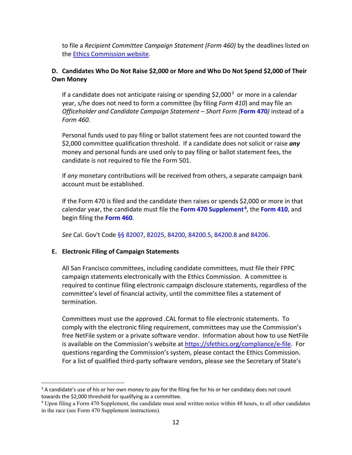to file a *Recipient Committee Campaign Statement (Form 460)* by the deadlines listed on the [Ethics Commission](https://sfethics.org/compliance/committee-filing-schedules) website.

# <span id="page-11-0"></span>**D. Candidates Who Do Not Raise \$2,000 or More and Who Do Not Spend \$2,000 of Their Own Money**

If a candidate does not anticipate raising or spending  $$2,000^3$  $$2,000^3$  or more in a calendar year, s/he does not need to form a committee (by filing *Form 410*) and may file an *Officeholder and Candidate Campaign Statement – Short Form (***[Form 470](http://www.fppc.ca.gov/content/dam/fppc/NS-Documents/TAD/Campaign%20Forms/470%20IA.pdf)***)* instead of a *Form 460*.

Personal funds used to pay filing or ballot statement fees are not counted toward the \$2,000 committee qualification threshold. If a candidate does not solicit or raise *any* money and personal funds are used only to pay filing or ballot statement fees, the candidate is not required to file the Form 501.

If *any* monetary contributions will be received from others, a separate campaign bank account must be established.

If the Form 470 is filed and the candidate then raises or spends \$2,000 or more in that calendar year, the candidate must file the **[Form 470 Supplement](http://www.fppc.ca.gov/content/dam/fppc/NS-Documents/TAD/Campaign%20Forms/470%20IA.pdf)[4](#page-11-3)**, the **[Form 410](http://www.fppc.ca.gov/content/dam/fppc/NS-Documents/TAD/Campaign%20Forms/410.pdf)**, and begin filing the **[Form 460](https://sfethics.org/compliance/campaigns/candidates/reporting-and-recordkeeping-for-candidates)**.

*See* Cal. Gov't Code [§§ 82007,](http://leginfo.legislature.ca.gov/faces/codes_displaySection.xhtml?lawCode=GOV§ionNum=82007.) [82025,](http://leginfo.legislature.ca.gov/faces/codes_displaySection.xhtml?lawCode=GOV§ionNum=82025.) [84200,](http://leginfo.legislature.ca.gov/faces/codes_displaySection.xhtml?lawCode=GOV§ionNum=84200.) [84200.5,](http://leginfo.legislature.ca.gov/faces/codes_displaySection.xhtml?lawCode=GOV§ionNum=84200.5.) [84200.8](http://leginfo.legislature.ca.gov/faces/codes_displaySection.xhtml?lawCode=GOV§ionNum=84200.8.) and [84206.](http://leginfo.legislature.ca.gov/faces/codes_displaySection.xhtml?lawCode=GOV§ionNum=84206.)

# <span id="page-11-1"></span>**E. Electronic Filing of Campaign Statements**

All San Francisco committees, including candidate committees, must file their FPPC campaign statements electronically with the Ethics Commission. A committee is required to continue filing electronic campaign disclosure statements, regardless of the committee's level of financial activity, until the committee files a statement of termination.

Committees must use the approved .CAL format to file electronic statements. To comply with the electronic filing requirement, committees may use the Commission's free NetFile system or a private software vendor. Information about how to use NetFile is available on the Commission's website a[t https://sfethics.org/compliance/e-file.](https://sfethics.org/compliance/e-file) For questions regarding the Commission's system, please contact the Ethics Commission. For a list of qualified third-party software vendors, please see the Secretary of State's

<span id="page-11-2"></span><sup>&</sup>lt;sup>3</sup> A candidate's use of his or her own money to pay for the filing fee for his or her candidacy does not count towards the \$2,000 threshold for qualifying as a committee.

<span id="page-11-3"></span><sup>4</sup> Upon filing a Form 470 Supplement, the candidate must send written notice within 48 hours, to all other candidates in the race (see Form 470 Supplement instructions).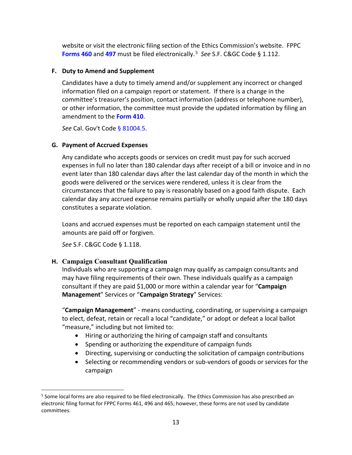website or visit the electronic filing section of the Ethics Commission's website. FPPC **[Forms](https://sfethics.org/compliance/campaigns/candidates/reporting-and-recordkeeping-for-candidates) 460** and **497** must be filed electronically. [5](#page-12-3) *See* [S.F. C&GC](http://library.amlegal.com/nxt/gateway.dll/California/campaign/articleielectioncampaigns?f=templates$fn=default.htm$3.0$vid=amlegal:sanfrancisco_ca$anc=JD_Art.ICh.1) Code § 1.112.

# <span id="page-12-0"></span>**F. Duty to Amend and Supplement**

Candidates have a duty to timely amend and/or supplement any incorrect or changed information filed on a campaign report or statement. If there is a change in the committee's treasurer's position, contact information (address or telephone number), or other information, the committee must provide the updated information by filing an amendment to the **[Form 410](http://www.fppc.ca.gov/learn/campaign-rules/campaign-forms.html)**.

*See* Cal. Gov't Code [§ 81004.5.](http://leginfo.legislature.ca.gov/faces/codes_displaySection.xhtml?lawCode=GOV§ionNum=81004.5.)

# <span id="page-12-1"></span>**G. Payment of Accrued Expenses**

Any candidate who accepts goods or services on credit must pay for such accrued expenses in full no later than 180 calendar days after receipt of a bill or invoice and in no event later than 180 calendar days after the last calendar day of the month in which the goods were delivered or the services were rendered, unless it is clear from the circumstances that the failure to pay is reasonably based on a good faith dispute. Each calendar day any accrued expense remains partially or wholly unpaid after the 180 days constitutes a separate violation.

Loans and accrued expenses must be reported on each campaign statement until the amounts are paid off or forgiven.

*See* [S.F. C&GC](http://library.amlegal.com/nxt/gateway.dll/California/campaign/articleielectioncampaigns?f=templates$fn=default.htm$3.0$vid=amlegal:sanfrancisco_ca$anc=JD_Art.ICh.1) Code § 1.118.

# <span id="page-12-2"></span>**H. Campaign Consultant Qualification**

Individuals who are supporting a campaign may qualify as campaign consultants and may have filing requirements of their own. These individuals qualify as a campaign consultant if they are paid \$1,000 or more within a calendar year for "**Campaign Management**" Services or "**Campaign Strategy**" Services:

"**Campaign Management**" - means conducting, coordinating, or supervising a campaign to elect, defeat, retain or recall a local "candidate," or adopt or defeat a local ballot "measure," including but not limited to:

- Hiring or authorizing the hiring of campaign staff and consultants
- Spending or authorizing the expenditure of campaign funds
- Directing, supervising or conducting the solicitation of campaign contributions
- Selecting or recommending vendors or sub-vendors of goods or services for the campaign

<span id="page-12-3"></span><sup>&</sup>lt;sup>5</sup> Some local forms are also required to be filed electronically. The Ethics Commission has also prescribed an electronic filing format for FPPC Forms 461, 496 and 465; however, these forms are not used by candidate committees.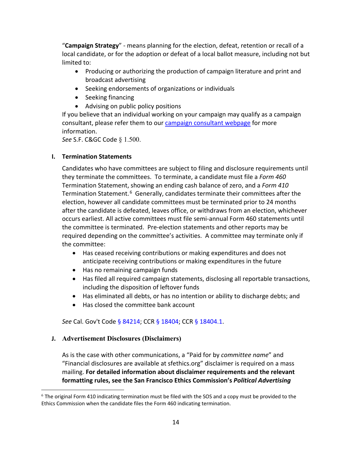"**Campaign Strategy**" - means planning for the election, defeat, retention or recall of a local candidate, or for the adoption or defeat of a local ballot measure, including not but limited to:

- Producing or authorizing the production of campaign literature and print and broadcast advertising
- Seeking endorsements of organizations or individuals
- Seeking financing
- Advising on public policy positions

If you believe that an individual working on your campaign may qualify as a campaign consultant, please refer them to our [campaign consultant webpage](https://sfethics.org/compliance/campaign-consultants) for more information.

*See* [S.F. C&GC](http://library.amlegal.com/nxt/gateway.dll/California/campaign/articleielectioncampaigns?f=templates$fn=default.htm$3.0$vid=amlegal:sanfrancisco_ca$anc=JD_Art.ICh.1) Code § 1.500.

# <span id="page-13-0"></span>**I. Termination Statements**

Candidates who have committees are subject to filing and disclosure requirements until they terminate the committees. To terminate, a candidate must file a *Form 460* Termination Statement, showing an ending cash balance of zero, and a *Form 410* Termination Statement.<sup>[6](#page-13-2)</sup> Generally, candidates terminate their committees after the election, however all candidate committees must be terminated prior to 24 months after the candidate is defeated, leaves office, or withdraws from an election, whichever occurs earliest. All active committees must file semi-annual Form 460 statements until the committee is terminated. Pre-election statements and other reports may be required depending on the committee's activities. A committee may terminate only if the committee:

- Has ceased receiving contributions or making expenditures and does not anticipate receiving contributions or making expenditures in the future
- Has no remaining campaign funds
- Has filed all required campaign statements, disclosing all reportable transactions, including the disposition of leftover funds
- Has eliminated all debts, or has no intention or ability to discharge debts; and
- Has closed the committee bank account

*See* Cal. Gov't Code [§ 84214;](http://leginfo.legislature.ca.gov/faces/codes_displaySection.xhtml?lawCode=GOV§ionNum=84214.) CC[R § 18404;](http://www.fppc.ca.gov/content/dam/fppc/NS-Documents/LegalDiv/Regulations/Index/Chapter4/18404.pdf) CCR § [18404.1.](https://www.fppc.ca.gov/content/dam/fppc/NS-Documents/LegalDiv/Regulations/NewRegs/18404.1.pdf)

# <span id="page-13-1"></span>**J. Advertisement Disclosures (Disclaimers)**

As is the case with other communications, a "Paid for by *committee name*" and "Financial disclosures are available at sfethics.org" disclaimer is required on a mass mailing. **For detailed information about disclaimer requirements and the relevant formatting rules, see the San Francisco Ethics Commission's** *Political Advertising* 

<span id="page-13-2"></span> $6$  The original Form 410 indicating termination must be filed with the SOS and a copy must be provided to the Ethics Commission when the candidate files the Form 460 indicating termination.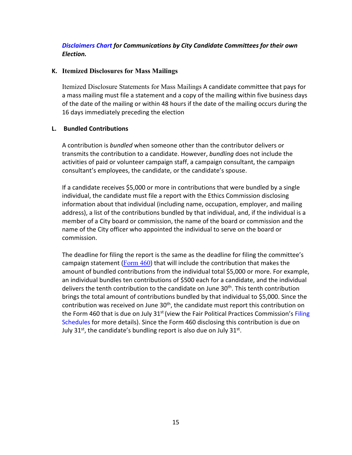# *[Disclaimers Chart](https://sfethics.org/compliance/campaigns/candidates/running-the-campaign-fundraising-campaign-communications/san-francisco-political-advertising-disclaimers-communications-by-city-candidate-committees-for-their-own-election) for Communications by City Candidate Committees for their own Election.*

### <span id="page-14-0"></span>**K. Itemized Disclosures for Mass Mailings**

Itemized Disclosure Statements for Mass Mailings A candidate committee that pays for a mass mailing must file a statement and a copy of the mailing within five business days of the date of the mailing or within 48 hours if the date of the mailing occurs during the 16 days immediately preceding the election

#### <span id="page-14-1"></span>**L. Bundled Contributions**

A contribution is *bundled* when someone other than the contributor delivers or transmits the contribution to a candidate. However, *bundling* does not include the activities of paid or volunteer campaign staff, a campaign consultant, the campaign consultant's employees, the candidate, or the candidate's spouse.

If a candidate receives \$5,000 or more in contributions that were bundled by a single individual, the candidate must file a report with the Ethics Commission disclosing information about that individual (including name, occupation, employer, and mailing address), a list of the contributions bundled by that individual, and, if the individual is a member of a City board or commission, the name of the board or commission and the name of the City officer who appointed the individual to serve on the board or commission.

The deadline for filing the report is the same as the deadline for filing the committee's campaign statement (Form  $460$ ) that will include the contribution that makes the amount of bundled contributions from the individual total \$5,000 or more. For example, an individual bundles ten contributions of \$500 each for a candidate, and the individual delivers the tenth contribution to the candidate on June 30<sup>th</sup>. This tenth contribution brings the total amount of contributions bundled by that individual to \$5,000. Since the contribution was received on June 30<sup>th</sup>, the candidate must report this contribution on the Form 460 that is due on July 31<sup>st</sup> (view the Fair Political Practices Commission's Filing [Schedules](http://www.fppc.ca.gov/learn/campaign-rules/where-and-when-to-file-campaign-statements/when-to-file-campaign-statements-state-local-filing-schedules.html) for more details). Since the Form 460 disclosing this contribution is due on July  $31^{st}$ , the candidate's bundling report is also due on July  $31^{st}$ .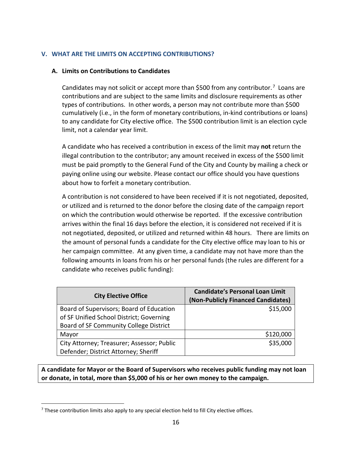### <span id="page-15-0"></span>**V. WHAT ARE THE LIMITS ON ACCEPTING CONTRIBUTIONS?**

#### <span id="page-15-1"></span>**A. Limits on Contributions to Candidates**

Candidates may not solicit or accept more than \$500 from any contributor.<sup>[7](#page-15-2)</sup> Loans are contributions and are subject to the same limits and disclosure requirements as other types of contributions. In other words, a person may not contribute more than \$500 cumulatively (i.e., in the form of monetary contributions, in-kind contributions or loans) to any candidate for City elective office. The \$500 contribution limit is an election cycle limit, not a calendar year limit.

A candidate who has received a contribution in excess of the limit may **not** return the illegal contribution to the contributor; any amount received in excess of the \$500 limit must be paid promptly to the General Fund of the City and County by mailing a check or paying online using our website. Please contact our office should you have questions about how to forfeit a monetary contribution.

A contribution is not considered to have been received if it is not negotiated, deposited, or utilized and is returned to the donor before the closing date of the campaign report on which the contribution would otherwise be reported. If the excessive contribution arrives within the final 16 days before the election, it is considered not received if it is not negotiated, deposited, or utilized and returned within 48 hours. There are limits on the amount of personal funds a candidate for the City elective office may loan to his or her campaign committee. At any given time, a candidate may not have more than the following amounts in loans from his or her personal funds (the rules are different for a candidate who receives public funding):

| <b>City Elective Office</b>                | <b>Candidate's Personal Loan Limit</b><br>(Non-Publicly Financed Candidates) |
|--------------------------------------------|------------------------------------------------------------------------------|
| Board of Supervisors; Board of Education   | \$15,000                                                                     |
| of SF Unified School District; Governing   |                                                                              |
| Board of SF Community College District     |                                                                              |
| Mayor                                      | \$120,000                                                                    |
| City Attorney; Treasurer; Assessor; Public | \$35,000                                                                     |
| Defender; District Attorney; Sheriff       |                                                                              |

**A candidate for Mayor or the Board of Supervisors who receives public funding may not loan or donate, in total, more than \$5,000 of his or her own money to the campaign.**

<span id="page-15-2"></span> $7$  These contribution limits also apply to any special election held to fill City elective offices.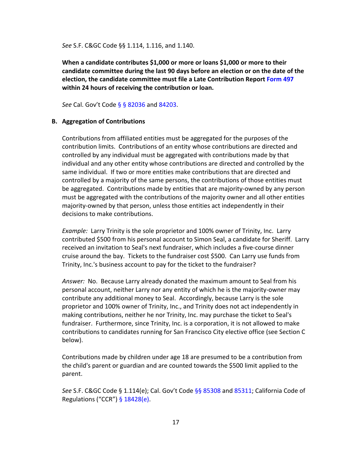*See* [S.F. C&GC](http://library.amlegal.com/nxt/gateway.dll/California/campaign/articleielectioncampaigns?f=templates$fn=default.htm$3.0$vid=amlegal:sanfrancisco_ca$anc=JD_Art.ICh.1) Code §§ 1.114, 1.116, and 1.140.

**When a candidate contributes \$1,000 or more or loans \$1,000 or more to their candidate committee during the last 90 days before an election or on the date of the election, the candidate committee must file a Late Contribution Report [Form 497](https://sfethics.org/compliance/campaigns/candidates/reporting-and-recordkeeping-for-candidates) within 24 hours of receiving the contribution or loan.** 

*See* Cal. Gov't Code [§ § 82036](http://leginfo.legislature.ca.gov/faces/codes_displaySection.xhtml?lawCode=GOV§ionNum=82036.) and [84203.](http://leginfo.legislature.ca.gov/faces/codes_displaySection.xhtml?lawCode=GOV§ionNum=84203.)

#### <span id="page-16-0"></span>**B. Aggregation of Contributions**

Contributions from affiliated entities must be aggregated for the purposes of the contribution limits. Contributions of an entity whose contributions are directed and controlled by any individual must be aggregated with contributions made by that individual and any other entity whose contributions are directed and controlled by the same individual. If two or more entities make contributions that are directed and controlled by a majority of the same persons, the contributions of those entities must be aggregated. Contributions made by entities that are majority-owned by any person must be aggregated with the contributions of the majority owner and all other entities majority-owned by that person, unless those entities act independently in their decisions to make contributions.

*Example:* Larry Trinity is the sole proprietor and 100% owner of Trinity, Inc. Larry contributed \$500 from his personal account to Simon Seal, a candidate for Sheriff. Larry received an invitation to Seal's next fundraiser, which includes a five-course dinner cruise around the bay. Tickets to the fundraiser cost \$500. Can Larry use funds from Trinity, Inc.'s business account to pay for the ticket to the fundraiser?

*Answer:* No. Because Larry already donated the maximum amount to Seal from his personal account, neither Larry nor any entity of which he is the majority-owner may contribute any additional money to Seal. Accordingly, because Larry is the sole proprietor and 100% owner of Trinity, Inc., and Trinity does not act independently in making contributions, neither he nor Trinity, Inc. may purchase the ticket to Seal's fundraiser. Furthermore, since Trinity, Inc. is a corporation, it is not allowed to make contributions to candidates running for San Francisco City elective office (see Section C below).

Contributions made by children under age 18 are presumed to be a contribution from the child's parent or guardian and are counted towards the \$500 limit applied to the parent.

*See* [S.F. C&GC](http://library.amlegal.com/nxt/gateway.dll/California/campaign/articleielectioncampaigns?f=templates$fn=default.htm$3.0$vid=amlegal:sanfrancisco_ca$anc=JD_Art.ICh.1) Code § 1.114(e); Cal. Gov't Code [§§ 85308](http://leginfo.legislature.ca.gov/faces/codes_displayText.xhtml?lawCode=GOV&division=&title=9.&part=&chapter=5.&article=3.) and [85311;](http://leginfo.legislature.ca.gov/faces/codes_displaySection.xhtml?lawCode=GOV§ionNum=85311.) California Code of Regulations ("CCR")  $§ 18428(e)$ .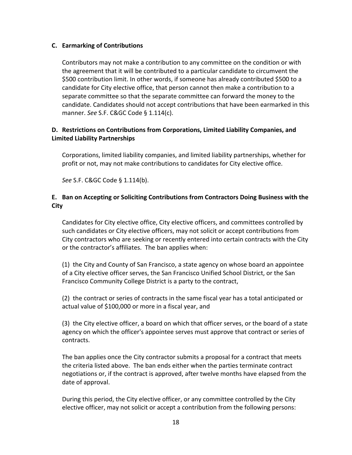### <span id="page-17-0"></span>**C. Earmarking of Contributions**

Contributors may not make a contribution to any committee on the condition or with the agreement that it will be contributed to a particular candidate to circumvent the \$500 contribution limit. In other words, if someone has already contributed \$500 to a candidate for City elective office, that person cannot then make a contribution to a separate committee so that the separate committee can forward the money to the candidate. Candidates should not accept contributions that have been earmarked in this manner. *See* S.F. C&GC Code § 1.114(c).

# <span id="page-17-1"></span>**D. Restrictions on Contributions from Corporations, Limited Liability Companies, and Limited Liability Partnerships**

Corporations, limited liability companies, and limited liability partnerships, whether for profit or not, may not make contributions to candidates for City elective office.

*See* [S.F. C&GC](http://library.amlegal.com/nxt/gateway.dll/California/campaign/articleielectioncampaigns?f=templates$fn=default.htm$3.0$vid=amlegal:sanfrancisco_ca$anc=JD_Art.ICh.1) Code § 1.114(b).

# <span id="page-17-2"></span>**E. Ban on Accepting or Soliciting Contributions from Contractors Doing Business with the City**

Candidates for City elective office, City elective officers, and committees controlled by such candidates or City elective officers, may not solicit or accept contributions from City contractors who are seeking or recently entered into certain contracts with the City or the contractor's affiliates. The ban applies when:

(1) the City and County of San Francisco, a state agency on whose board an appointee of a City elective officer serves, the San Francisco Unified School District, or the San Francisco Community College District is a party to the contract,

(2) the contract or series of contracts in the same fiscal year has a total anticipated or actual value of \$100,000 or more in a fiscal year, and

(3) the City elective officer, a board on which that officer serves, or the board of a state agency on which the officer's appointee serves must approve that contract or series of contracts.

The ban applies once the City contractor submits a proposal for a contract that meets the criteria listed above. The ban ends either when the parties terminate contract negotiations or, if the contract is approved, after twelve months have elapsed from the date of approval.

During this period, the City elective officer, or any committee controlled by the City elective officer, may not solicit or accept a contribution from the following persons: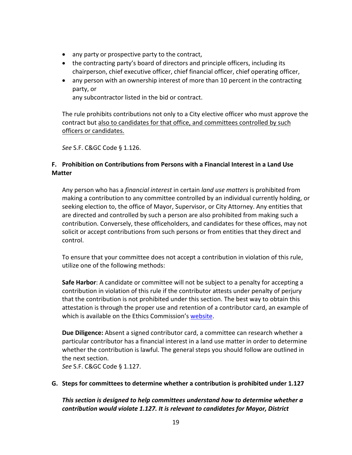- any party or prospective party to the contract,
- the contracting party's board of directors and principle officers, including its chairperson, chief executive officer, chief financial officer, chief operating officer,
- any person with an ownership interest of more than 10 percent in the contracting party, or any subcontractor listed in the bid or contract.

The rule prohibits contributions not only to a City elective officer who must approve the contract but also to candidates for that office, and committees controlled by such officers or candidates.

*See* [S.F. C&GC](http://library.amlegal.com/nxt/gateway.dll/California/campaign/articleielectioncampaigns?f=templates$fn=default.htm$3.0$vid=amlegal:sanfrancisco_ca$anc=JD_Art.ICh.1) Code § 1.126.

# <span id="page-18-0"></span>**F. Prohibition on Contributions from Persons with a Financial Interest in a Land Use Matter**

Any person who has a *financial interest* in certain *land use matters* is prohibited from making a contribution to any committee controlled by an individual currently holding, or seeking election to, the office of Mayor, Supervisor, or City Attorney. Any entities that are directed and controlled by such a person are also prohibited from making such a contribution. Conversely, these officeholders, and candidates for these offices, may not solicit or accept contributions from such persons or from entities that they direct and control.

To ensure that your committee does not accept a contribution in violation of this rule, utilize one of the following methods:

**Safe Harbor**: A candidate or committee will not be subject to a penalty for accepting a contribution in violation of this rule if the contributor attests under penalty of perjury that the contribution is not prohibited under this section. The best way to obtain this attestation is through the proper use and retention of a contributor card, an example of which is available on the Ethics Commission's [website.](https://sfethics.org/compliance/campaigns/complete-list-of-campaign-public-finance-forms)

**Due Diligence:** Absent a signed contributor card, a committee can research whether a particular contributor has a financial interest in a land use matter in order to determine whether the contribution is lawful. The general steps you should follow are outlined in the next section.

*See* S.F. C&GC Code § 1.127.

# <span id="page-18-1"></span>**G. Steps for committees to determine whether a contribution is prohibited under 1.127**

*This section is designed to help committees understand how to determine whether a contribution would violate 1.127. It is relevant to candidates for Mayor, District*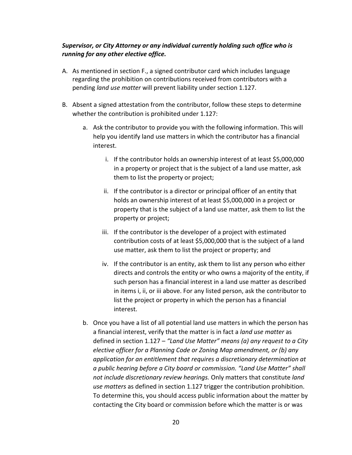# *Supervisor, or City Attorney or any individual currently holding such office who is running for any other elective office.*

- A. As mentioned in section F., a signed contributor card which includes language regarding the prohibition on contributions received from contributors with a pending *land use matter* will prevent liability under section 1.127.
- B. Absent a signed attestation from the contributor, follow these steps to determine whether the contribution is prohibited under 1.127:
	- a. Ask the contributor to provide you with the following information. This will help you identify land use matters in which the contributor has a financial interest.
		- i. If the contributor holds an ownership interest of at least \$5,000,000 in a property or project that is the subject of a land use matter, ask them to list the property or project;
		- ii. If the contributor is a director or principal officer of an entity that holds an ownership interest of at least \$5,000,000 in a project or property that is the subject of a land use matter, ask them to list the property or project;
		- iii. If the contributor is the developer of a project with estimated contribution costs of at least \$5,000,000 that is the subject of a land use matter, ask them to list the project or property; and
		- iv. If the contributor is an entity, ask them to list any person who either directs and controls the entity or who owns a majority of the entity, if such person has a financial interest in a land use matter as described in items i, ii, or iii above. For any listed person, ask the contributor to list the project or property in which the person has a financial interest.
	- b. Once you have a list of all potential land use matters in which the person has a financial interest, verify that the matter is in fact a *land use matter* as defined in section 1.127 – *"Land Use Matter" means (a) any request to a City elective officer for a Planning Code or Zoning Map amendment, or (b) any application for an entitlement that requires a discretionary determination at a public hearing before a City board or commission. "Land Use Matter" shall not include discretionary review hearings.* Only matters that constitute *land use matters* as defined in section 1.127 trigger the contribution prohibition. To determine this, you should access public information about the matter by contacting the City board or commission before which the matter is or was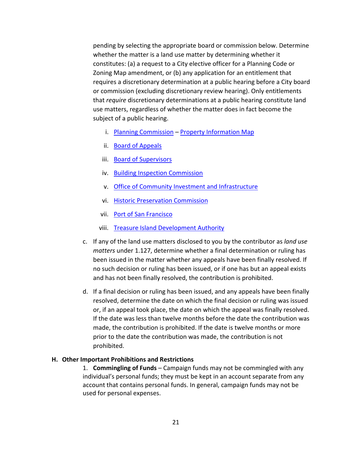pending by selecting the appropriate board or commission below. Determine whether the matter is a land use matter by determining whether it constitutes: (a) a request to a City elective officer for a Planning Code or Zoning Map amendment, or (b) any application for an entitlement that requires a discretionary determination at a public hearing before a City board or commission (excluding discretionary review hearing). Only entitlements that *require* discretionary determinations at a public hearing constitute land use matters, regardless of whether the matter does in fact become the subject of a public hearing.

- i. [Planning Commission](https://sfplanning.org/planning-commission) [Property Information Map](http://sfplanninggis.org/PIM/)
- ii. [Board of Appeals](https://sfgov.org/bdappeal/)
- iii. [Board of Supervisors](https://sfbos.org/)
- iv. [Building Inspection Commission](https://sfdbi.org/)
- v. [Office of Community Investment and Infrastructure](https://sfocii.org/)
- vi. [Historic Preservation Commission](https://sfplanning.org/historic-preservation-commission)
- vii. [Port of San Francisco](https://sfport.com/commission)
- viii. [Treasure Island Development](https://sftreasureisland.org/) Authority
- c. If any of the land use matters disclosed to you by the contributor as *land use matters* under 1.127, determine whether a final determination or ruling has been issued in the matter whether any appeals have been finally resolved. If no such decision or ruling has been issued, or if one has but an appeal exists and has not been finally resolved, the contribution is prohibited.
- d. If a final decision or ruling has been issued, and any appeals have been finally resolved, determine the date on which the final decision or ruling was issued or, if an appeal took place, the date on which the appeal was finally resolved. If the date was less than twelve months before the date the contribution was made, the contribution is prohibited. If the date is twelve months or more prior to the date the contribution was made, the contribution is not prohibited.

#### <span id="page-20-0"></span>**H. Other Important Prohibitions and Restrictions**

1. **Commingling of Funds** – Campaign funds may not be commingled with any individual's personal funds; they must be kept in an account separate from any account that contains personal funds. In general, campaign funds may not be used for personal expenses.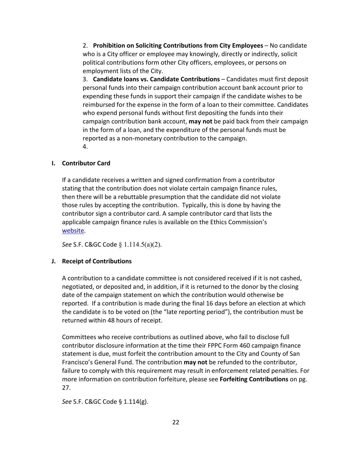2. **Prohibition on Soliciting Contributions from City Employees** – No candidate who is a City officer or employee may knowingly, directly or indirectly, solicit political contributions form other City officers, employees, or persons on employment lists of the City.

3. **Candidate loans vs. Candidate Contributions** – Candidates must first deposit personal funds into their campaign contribution account bank account prior to expending these funds in support their campaign if the candidate wishes to be reimbursed for the expense in the form of a loan to their committee. Candidates who expend personal funds without first depositing the funds into their campaign contribution bank account, **may not** be paid back from their campaign in the form of a loan, and the expenditure of the personal funds must be reported as a non-monetary contribution to the campaign. 4.

### <span id="page-21-0"></span>**I. Contributor Card**

If a candidate receives a written and signed confirmation from a contributor stating that the contribution does not violate certain campaign finance rules, then there will be a rebuttable presumption that the candidate did not violate those rules by accepting the contribution. Typically, this is done by having the contributor sign a contributor card. A sample contributor card that lists the applicable campaign finance rules is available on the Ethics Commission's [website.](https://sfethics.org/compliance/campaigns/complete-list-of-campaign-public-finance-forms)

*See* S.F. C&GC Code § 1.114.5(a)(2).

#### <span id="page-21-1"></span>**J. Receipt of Contributions**

A contribution to a candidate committee is not considered received if it is not cashed, negotiated, or deposited and, in addition, if it is returned to the donor by the closing date of the campaign statement on which the contribution would otherwise be reported. If a contribution is made during the final 16 days before an election at which the candidate is to be voted on (the "late reporting period"), the contribution must be returned within 48 hours of receipt.

Committees who receive contributions as outlined above, who fail to disclose full contributor disclosure information at the time their FPPC Form 460 campaign finance statement is due, must forfeit the contribution amount to the City and County of San Francisco's General Fund. The contribution **may not** be refunded to the contributor, failure to comply with this requirement may result in enforcement related penalties. For more information on contribution forfeiture, please see **Forfeiting Contributions** on pg. 27.

*See* [S.F. C&GC](http://library.amlegal.com/nxt/gateway.dll/California/campaign/articleielectioncampaigns?f=templates$fn=default.htm$3.0$vid=amlegal:sanfrancisco_ca$anc=JD_Art.ICh.1) Code § 1.114(g).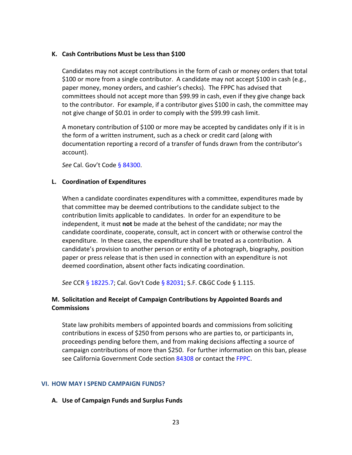#### <span id="page-22-0"></span>**K. Cash Contributions Must be Less than \$100**

Candidates may not accept contributions in the form of cash or money orders that total \$100 or more from a single contributor. A candidate may not accept \$100 in cash (e.g., paper money, money orders, and cashier's checks). The FPPC has advised that committees should not accept more than \$99.99 in cash, even if they give change back to the contributor. For example, if a contributor gives \$100 in cash, the committee may not give change of \$0.01 in order to comply with the \$99.99 cash limit.

A monetary contribution of \$100 or more may be accepted by candidates only if it is in the form of a written instrument, such as a check or credit card (along with documentation reporting a record of a transfer of funds drawn from the contributor's account).

*See* Cal. Gov't Code [§ 84300.](http://leginfo.legislature.ca.gov/faces/codes_displaySection.xhtml?lawCode=GOV§ionNum=84300.)

#### <span id="page-22-1"></span>**L. Coordination of Expenditures**

When a candidate coordinates expenditures with a committee, expenditures made by that committee may be deemed contributions to the candidate subject to the contribution limits applicable to candidates. In order for an expenditure to be independent, it must **not** be made at the behest of the candidate; nor may the candidate coordinate, cooperate, consult, act in concert with or otherwise control the expenditure. In these cases, the expenditure shall be treated as a contribution. A candidate's provision to another person or entity of a photograph, biography, position paper or press release that is then used in connection with an expenditure is not deemed coordination, absent other facts indicating coordination.

*See* CCR [§ 18225.7;](http://www.fppc.ca.gov/content/dam/fppc/NS-Documents/LegalDiv/Regulations/Index/Chapter2/18225.7.pdf) Cal. Gov't Code [§ 82031;](http://leginfo.legislature.ca.gov/faces/codes_displaySection.xhtml?lawCode=GOV§ionNum=82031.) [S.F. C&GC](http://library.amlegal.com/nxt/gateway.dll/California/campaign/articleielectioncampaigns?f=templates$fn=default.htm$3.0$vid=amlegal:sanfrancisco_ca$anc=JD_Art.ICh.1) Code § 1.115.

# <span id="page-22-2"></span>**M. Solicitation and Receipt of Campaign Contributions by Appointed Boards and Commissions**

State law prohibits members of appointed boards and commissions from soliciting contributions in excess of \$250 from persons who are parties to, or participants in, proceedings pending before them, and from making decisions affecting a source of campaign contributions of more than \$250. For further information on this ban, please see California Government Code section [84308](http://leginfo.legislature.ca.gov/faces/codes_displaySection.xhtml?lawCode=GOV§ionNum=84308.) or contact the [FPPC.](http://www.fppc.ca.gov/content/fppc-www/about-fppc/contact-us.html)

#### <span id="page-22-3"></span>**VI. HOW MAY I SPEND CAMPAIGN FUNDS?**

#### <span id="page-22-4"></span>**A. Use of Campaign Funds and Surplus Funds**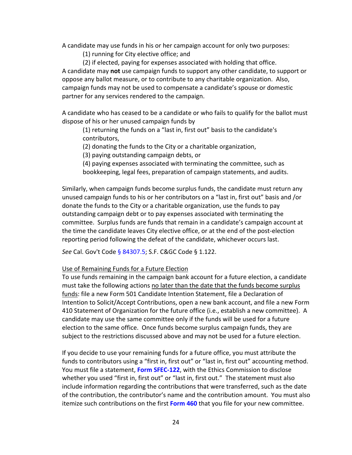A candidate may use funds in his or her campaign account for only two purposes:

(1) running for City elective office; and

(2) if elected, paying for expenses associated with holding that office. A candidate may **not** use campaign funds to support any other candidate, to support or oppose any ballot measure, or to contribute to any charitable organization. Also, campaign funds may not be used to compensate a candidate's spouse or domestic partner for any services rendered to the campaign.

A candidate who has ceased to be a candidate or who fails to qualify for the ballot must dispose of his or her unused campaign funds by

(1) returning the funds on a "last in, first out" basis to the candidate's contributors,

(2) donating the funds to the City or a charitable organization,

(3) paying outstanding campaign debts, or

(4) paying expenses associated with terminating the committee, such as bookkeeping, legal fees, preparation of campaign statements, and audits.

Similarly, when campaign funds become surplus funds, the candidate must return any unused campaign funds to his or her contributors on a "last in, first out" basis and /or donate the funds to the City or a charitable organization, use the funds to pay outstanding campaign debt or to pay expenses associated with terminating the committee. Surplus funds are funds that remain in a candidate's campaign account at the time the candidate leaves City elective office, or at the end of the post-election reporting period following the defeat of the candidate, whichever occurs last.

*See* Cal. Gov't Code [§ 84307.5;](http://leginfo.legislature.ca.gov/faces/codes_displaySection.xhtml?lawCode=GOV§ionNum=84307.5.) [S.F. C&GC](http://library.amlegal.com/nxt/gateway.dll/California/campaign/articleielectioncampaigns?f=templates$fn=default.htm$3.0$vid=amlegal:sanfrancisco_ca$anc=JD_Art.ICh.1) Code § 1.122.

#### Use of Remaining Funds for a Future Election

To use funds remaining in the campaign bank account for a future election, a candidate must take the following actions no later than the date that the funds become surplus funds: file a new Form 501 Candidate Intention Statement, file a Declaration of Intention to Solicit/Accept Contributions, open a new bank account, and file a new Form 410 Statement of Organization for the future office (i.e., establish a new committee). A candidate may use the same committee only if the funds will be used for a future election to the same office. Once funds become surplus campaign funds, they are subject to the restrictions discussed above and may not be used for a future election.

If you decide to use your remaining funds for a future office, you must attribute the funds to contributors using a "first in, first out" or "last in, first out" accounting method. You must file a statement, **[Form SFEC-122](https://sfethics.org/compliance/campaigns/complete-list-of-campaign-public-finance-forms)**, with the Ethics Commission to disclose whether you used "first in, first out" or "last in, first out." The statement must also include information regarding the contributions that were transferred, such as the date of the contribution, the contributor's name and the contribution amount. You must also itemize such contributions on the first **[Form 460](https://sfethics.org/compliance/campaigns/candidates/reporting-and-recordkeeping-for-candidates)** that you file for your new committee.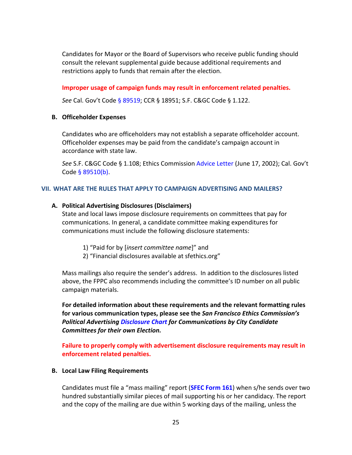Candidates for Mayor or the Board of Supervisors who receive public funding should consult the relevant supplemental guide because additional requirements and restrictions apply to funds that remain after the election.

**Improper usage of campaign funds may result in enforcement related penalties.**

*See* Cal. Gov't Code [§ 89519;](http://leginfo.legislature.ca.gov/faces/codes_displaySection.xhtml?lawCode=GOV§ionNum=89519.) CCR § 18951; [S.F. C&GC](http://library.amlegal.com/nxt/gateway.dll/California/campaign/articleielectioncampaigns?f=templates$fn=default.htm$3.0$vid=amlegal:sanfrancisco_ca$anc=JD_Art.ICh.1) Code § 1.122.

#### <span id="page-24-0"></span>**B. Officeholder Expenses**

Candidates who are officeholders may not establish a separate officeholder account. Officeholder expenses may be paid from the candidate's campaign account in accordance with state law.

*See* [S.F. C&GC](http://library.amlegal.com/nxt/gateway.dll/California/campaign/articleielectioncampaigns?f=templates$fn=default.htm$3.0$vid=amlegal:sanfrancisco_ca$anc=JD_Art.ICh.1) Code § 1.108; Ethics Commission [Advice Letter](https://sfethics.org/laws/advice-letters) (June 17, 2002); Cal. Gov't Cod[e § 89510\(b\).](http://leginfo.legislature.ca.gov/faces/codes_displaySection.xhtml?lawCode=GOV§ionNum=89510.)

#### <span id="page-24-1"></span>**VII. WHAT ARE THE RULES THAT APPLY TO CAMPAIGN ADVERTISING AND MAILERS?**

#### <span id="page-24-2"></span>**A. Political Advertising Disclosures (Disclaimers)**

State and local laws impose disclosure requirements on committees that pay for communications. In general, a candidate committee making expenditures for communications must include the following disclosure statements:

- 1) "Paid for by [*insert committee name*]" and
- 2) "Financial disclosures available at sfethics.org"

Mass mailings also require the sender's address. In addition to the disclosures listed above, the FPPC also recommends including the committee's ID number on all public campaign materials.

**For detailed information about these requirements and the relevant formatting rules for various communication types, please see the** *San Francisco Ethics Commission's Political Advertising [Disclosure](https://sfethics.org/compliance/campaigns/candidates/running-the-campaign-fundraising-campaign-communications/san-francisco-political-advertising-disclaimers-communications-by-city-candidate-committees-for-their-own-election) Chart for Communications by City Candidate Committees for their own Election.*

**Failure to properly comply with advertisement disclosure requirements may result in enforcement related penalties.**

#### <span id="page-24-3"></span>**B. Local Law Filing Requirements**

Candidates must file a "mass mailing" report (**[SFEC Form 161](https://sfethics.org/compliance/campaigns/complete-list-of-campaign-public-finance-forms)**) when s/he sends over two hundred substantially similar pieces of mail supporting his or her candidacy. The report and the copy of the mailing are due within 5 working days of the mailing, unless the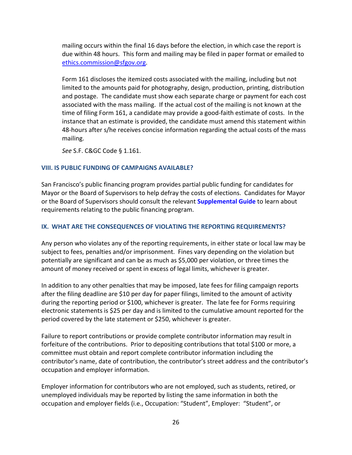mailing occurs within the final 16 days before the election, in which case the report is due within 48 hours. This form and mailing may be filed in paper format or emailed to [ethics.commission@sfgov.org.](mailto:ethics.commission@sfgov.org)

Form 161 discloses the itemized costs associated with the mailing, including but not limited to the amounts paid for photography, design, production, printing, distribution and postage. The candidate must show each separate charge or payment for each cost associated with the mass mailing. If the actual cost of the mailing is not known at the time of filing Form 161, a candidate may provide a good-faith estimate of costs. In the instance that an estimate is provided, the candidate must amend this statement within 48-hours after s/he receives concise information regarding the actual costs of the mass mailing.

*See* [S.F. C&GC](http://library.amlegal.com/nxt/gateway.dll/California/campaign/articleielectioncampaigns?f=templates$fn=default.htm$3.0$vid=amlegal:sanfrancisco_ca$anc=JD_Art.ICh.1) Code § 1.161.

#### <span id="page-25-0"></span>**VIII. IS PUBLIC FUNDING OF CAMPAIGNS AVAILABLE?**

San Francisco's public financing program provides partial public funding for candidates for Mayor or the Board of Supervisors to help defray the costs of elections. Candidates for Mayor or the Board of Supervisors should consult the relevant **[Supplemental Guide](https://sfethics.org/compliance/campaigns/candidates/public-financing-program)** to learn about requirements relating to the public financing program.

#### <span id="page-25-1"></span>**IX. WHAT ARE THE CONSEQUENCES OF VIOLATING THE REPORTING REQUIREMENTS?**

Any person who violates any of the reporting requirements, in either state or local law may be subject to fees, penalties and/or imprisonment. Fines vary depending on the violation but potentially are significant and can be as much as \$5,000 per violation, or three times the amount of money received or spent in excess of legal limits, whichever is greater.

In addition to any other penalties that may be imposed, late fees for filing campaign reports after the filing deadline are \$10 per day for paper filings, limited to the amount of activity during the reporting period or \$100, whichever is greater. The late fee for Forms requiring electronic statements is \$25 per day and is limited to the cumulative amount reported for the period covered by the late statement or \$250, whichever is greater.

Failure to report contributions or provide complete contributor information may result in forfeiture of the contributions. Prior to depositing contributions that total \$100 or more, a committee must obtain and report complete contributor information including the contributor's name, date of contribution, the contributor's street address and the contributor's occupation and employer information.

Employer information for contributors who are not employed, such as students, retired, or unemployed individuals may be reported by listing the same information in both the occupation and employer fields (i.e., Occupation: "Student", Employer: "Student", or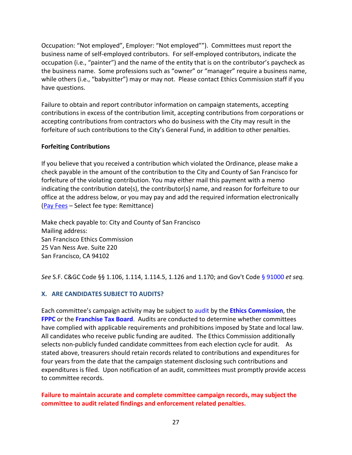Occupation: "Not employed", Employer: "Not employed""). Committees must report the business name of self-employed contributors. For self-employed contributors, indicate the occupation (i.e., "painter") and the name of the entity that is on the contributor's paycheck as the business name. Some professions such as "owner" or "manager" require a business name, while others (i.e., "babysitter") may or may not. Please contact Ethics Commission staff if you have questions.

Failure to obtain and report contributor information on campaign statements, accepting contributions in excess of the contribution limit, accepting contributions from corporations or accepting contributions from contractors who do business with the City may result in the forfeiture of such contributions to the City's General Fund, in addition to other penalties.

#### **Forfeiting Contributions**

If you believe that you received a contribution which violated the Ordinance, please make a check payable in the amount of the contribution to the City and County of San Francisco for forfeiture of the violating contribution. You may either mail this payment with a memo indicating the contribution date(s), the contributor(s) name, and reason for forfeiture to our office at the address below, or you may pay and add the required information electronically [\(Pay Fees](https://services.paysf.co/service/ethics-commission) – Select fee type: Remittance)

Make check payable to: City and County of San Francisco Mailing address: San Francisco Ethics Commission 25 Van Ness Ave. Suite 220 San Francisco, CA 94102

*See* [S.F. C&GC](http://library.amlegal.com/nxt/gateway.dll/California/campaign/articleielectioncampaigns?f=templates$fn=default.htm$3.0$vid=amlegal:sanfrancisco_ca$anc=JD_Art.ICh.1) Code §§ 1.106, 1.114, 1.114.5, 1.126 and 1.170; and Gov't Code [§ 91000](http://leginfo.legislature.ca.gov/faces/codes_displayText.xhtml?lawCode=GOV&division=&title=9.&part=&chapter=11.&article=) *et seq.*

# <span id="page-26-0"></span>**X. ARE CANDIDATES SUBJECT TO AUDITS?**

Each committee's campaign activity may be subject t[o audit](https://sfethics.org/compliance/campaigns/audits) by the **[Ethics Commission](https://sfethics.org/compliance/campaigns/audits)**, the **[FPPC](http://www.fppc.ca.gov/enforcement/audit-program.html)** or the **[Franchise Tax Board](https://www.ftb.ca.gov/aboutFTB/Political_Reform_Audit/index.shtml)**. Audits are conducted to determine whether committees have complied with applicable requirements and prohibitions imposed by State and local law. All candidates who receive public funding are audited. The Ethics Commission additionally selects non-publicly funded candidate committees from each election cycle for audit. As stated above, treasurers should retain records related to contributions and expenditures for four years from the date that the campaign statement disclosing such contributions and expenditures is filed. Upon notification of an audit, committees must promptly provide access to committee records.

### **Failure to maintain accurate and complete committee campaign records, may subject the committee to audit related findings and enforcement related penalties.**